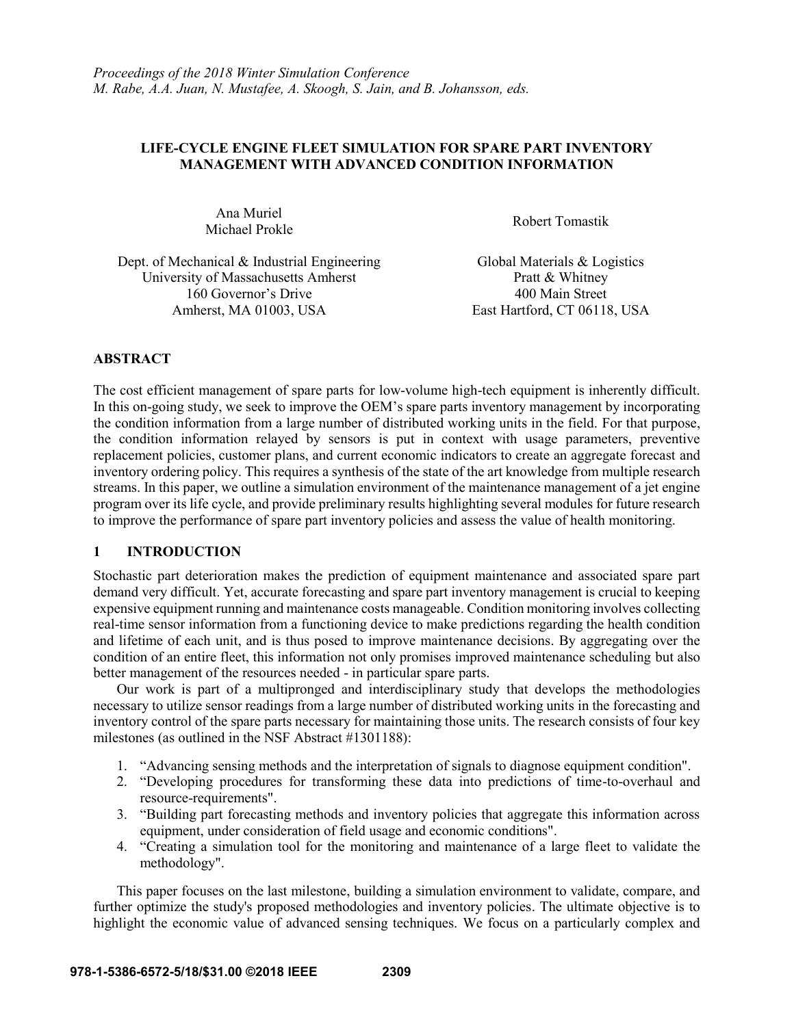## **LIFE-CYCLE ENGINE FLEET SIMULATION FOR SPARE PART INVENTORY MANAGEMENT WITH ADVANCED CONDITION INFORMATION**

Ana Muriel Robert Tomastik<br>Michael Prokle

Dept. of Mechanical & Industrial Engineering Global Materials & Logistics University of Massachusetts Amherst Pratt & Whitney 160 Governor's Drive 400 Main Street Amherst, MA 01003, USA East Hartford, CT 06118, USA

# **ABSTRACT**

The cost efficient management of spare parts for low-volume high-tech equipment is inherently difficult. In this on-going study, we seek to improve the OEM's spare parts inventory management by incorporating the condition information from a large number of distributed working units in the field. For that purpose, the condition information relayed by sensors is put in context with usage parameters, preventive replacement policies, customer plans, and current economic indicators to create an aggregate forecast and inventory ordering policy. This requires a synthesis of the state of the art knowledge from multiple research streams. In this paper, we outline a simulation environment of the maintenance management of a jet engine program over its life cycle, and provide preliminary results highlighting several modules for future research to improve the performance of spare part inventory policies and assess the value of health monitoring.

## **1 INTRODUCTION**

Stochastic part deterioration makes the prediction of equipment maintenance and associated spare part demand very difficult. Yet, accurate forecasting and spare part inventory management is crucial to keeping expensive equipment running and maintenance costs manageable. Condition monitoring involves collecting real-time sensor information from a functioning device to make predictions regarding the health condition and lifetime of each unit, and is thus posed to improve maintenance decisions. By aggregating over the condition of an entire fleet, this information not only promises improved maintenance scheduling but also better management of the resources needed - in particular spare parts.

Our work is part of a multipronged and interdisciplinary study that develops the methodologies necessary to utilize sensor readings from a large number of distributed working units in the forecasting and inventory control of the spare parts necessary for maintaining those units. The research consists of four key milestones (as outlined in the NSF Abstract #1301188):

- 1. "Advancing sensing methods and the interpretation of signals to diagnose equipment condition".
- 2. "Developing procedures for transforming these data into predictions of time-to-overhaul and resource-requirements".
- 3. "Building part forecasting methods and inventory policies that aggregate this information across equipment, under consideration of field usage and economic conditions".
- 4. "Creating a simulation tool for the monitoring and maintenance of a large fleet to validate the methodology".

This paper focuses on the last milestone, building a simulation environment to validate, compare, and further optimize the study's proposed methodologies and inventory policies. The ultimate objective is to highlight the economic value of advanced sensing techniques. We focus on a particularly complex and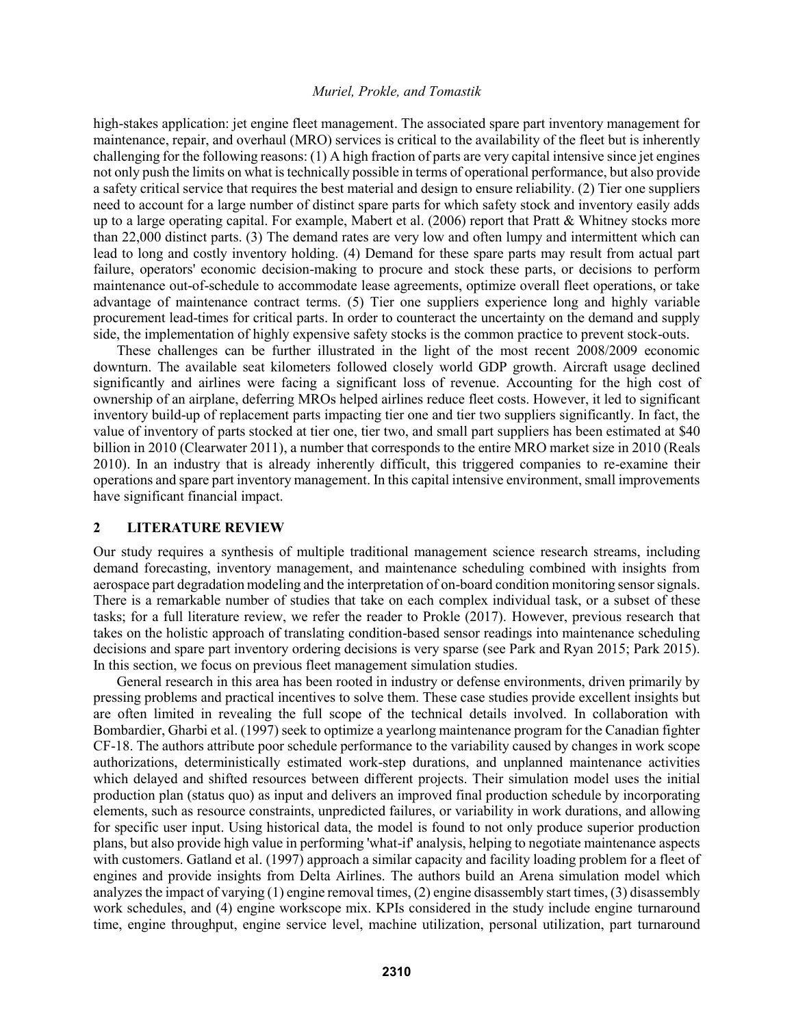high-stakes application: jet engine fleet management. The associated spare part inventory management for maintenance, repair, and overhaul (MRO) services is critical to the availability of the fleet but is inherently challenging for the following reasons: (1) A high fraction of parts are very capital intensive since jet engines not only push the limits on what is technically possible in terms of operational performance, but also provide a safety critical service that requires the best material and design to ensure reliability. (2) Tier one suppliers need to account for a large number of distinct spare parts for which safety stock and inventory easily adds up to a large operating capital. For example, Mabert et al. (2006) report that Pratt & Whitney stocks more than 22,000 distinct parts. (3) The demand rates are very low and often lumpy and intermittent which can lead to long and costly inventory holding. (4) Demand for these spare parts may result from actual part failure, operators' economic decision-making to procure and stock these parts, or decisions to perform maintenance out-of-schedule to accommodate lease agreements, optimize overall fleet operations, or take advantage of maintenance contract terms. (5) Tier one suppliers experience long and highly variable procurement lead-times for critical parts. In order to counteract the uncertainty on the demand and supply side, the implementation of highly expensive safety stocks is the common practice to prevent stock-outs.

These challenges can be further illustrated in the light of the most recent 2008/2009 economic downturn. The available seat kilometers followed closely world GDP growth. Aircraft usage declined significantly and airlines were facing a significant loss of revenue. Accounting for the high cost of ownership of an airplane, deferring MROs helped airlines reduce fleet costs. However, it led to significant inventory build-up of replacement parts impacting tier one and tier two suppliers significantly. In fact, the value of inventory of parts stocked at tier one, tier two, and small part suppliers has been estimated at \$40 billion in 2010 (Clearwater 2011), a number that corresponds to the entire MRO market size in 2010 (Reals 2010). In an industry that is already inherently difficult, this triggered companies to re-examine their operations and spare part inventory management. In this capital intensive environment, small improvements have significant financial impact.

### **2 LITERATURE REVIEW**

Our study requires a synthesis of multiple traditional management science research streams, including demand forecasting, inventory management, and maintenance scheduling combined with insights from aerospace part degradation modeling and the interpretation of on-board condition monitoring sensor signals. There is a remarkable number of studies that take on each complex individual task, or a subset of these tasks; for a full literature review, we refer the reader to Prokle (2017). However, previous research that takes on the holistic approach of translating condition-based sensor readings into maintenance scheduling decisions and spare part inventory ordering decisions is very sparse (see Park and Ryan 2015; Park 2015). In this section, we focus on previous fleet management simulation studies.

General research in this area has been rooted in industry or defense environments, driven primarily by pressing problems and practical incentives to solve them. These case studies provide excellent insights but are often limited in revealing the full scope of the technical details involved. In collaboration with Bombardier, Gharbi et al. (1997) seek to optimize a yearlong maintenance program for the Canadian fighter CF-18. The authors attribute poor schedule performance to the variability caused by changes in work scope authorizations, deterministically estimated work-step durations, and unplanned maintenance activities which delayed and shifted resources between different projects. Their simulation model uses the initial production plan (status quo) as input and delivers an improved final production schedule by incorporating elements, such as resource constraints, unpredicted failures, or variability in work durations, and allowing for specific user input. Using historical data, the model is found to not only produce superior production plans, but also provide high value in performing 'what-if' analysis, helping to negotiate maintenance aspects with customers. Gatland et al. (1997) approach a similar capacity and facility loading problem for a fleet of engines and provide insights from Delta Airlines. The authors build an Arena simulation model which analyzes the impact of varying (1) engine removal times, (2) engine disassembly start times, (3) disassembly work schedules, and (4) engine workscope mix. KPIs considered in the study include engine turnaround time, engine throughput, engine service level, machine utilization, personal utilization, part turnaround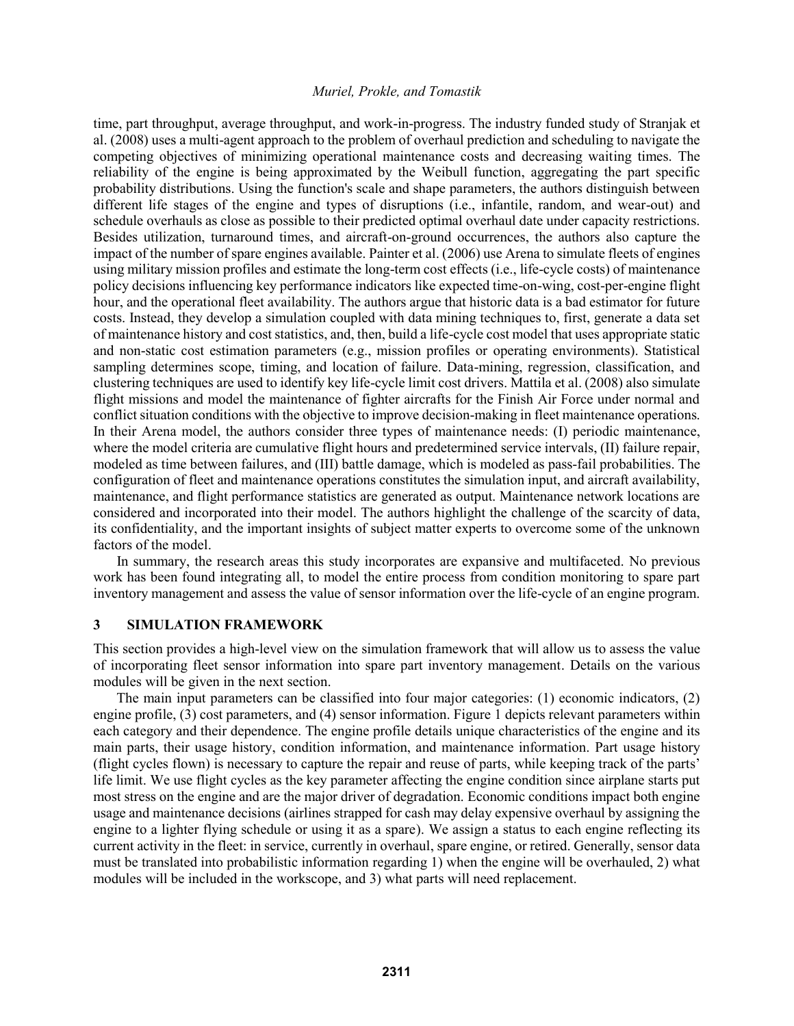time, part throughput, average throughput, and work-in-progress. The industry funded study of Stranjak et al. (2008) uses a multi-agent approach to the problem of overhaul prediction and scheduling to navigate the competing objectives of minimizing operational maintenance costs and decreasing waiting times. The reliability of the engine is being approximated by the Weibull function, aggregating the part specific probability distributions. Using the function's scale and shape parameters, the authors distinguish between different life stages of the engine and types of disruptions (i.e., infantile, random, and wear-out) and schedule overhauls as close as possible to their predicted optimal overhaul date under capacity restrictions. Besides utilization, turnaround times, and aircraft-on-ground occurrences, the authors also capture the impact of the number of spare engines available. Painter et al. (2006) use Arena to simulate fleets of engines using military mission profiles and estimate the long-term cost effects (i.e., life-cycle costs) of maintenance policy decisions influencing key performance indicators like expected time-on-wing, cost-per-engine flight hour, and the operational fleet availability. The authors argue that historic data is a bad estimator for future costs. Instead, they develop a simulation coupled with data mining techniques to, first, generate a data set of maintenance history and cost statistics, and, then, build a life-cycle cost model that uses appropriate static and non-static cost estimation parameters (e.g., mission profiles or operating environments). Statistical sampling determines scope, timing, and location of failure. Data-mining, regression, classification, and clustering techniques are used to identify key life-cycle limit cost drivers. Mattila et al. (2008) also simulate flight missions and model the maintenance of fighter aircrafts for the Finish Air Force under normal and conflict situation conditions with the objective to improve decision-making in fleet maintenance operations. In their Arena model, the authors consider three types of maintenance needs: (I) periodic maintenance, where the model criteria are cumulative flight hours and predetermined service intervals, (II) failure repair, modeled as time between failures, and (III) battle damage, which is modeled as pass-fail probabilities. The configuration of fleet and maintenance operations constitutes the simulation input, and aircraft availability, maintenance, and flight performance statistics are generated as output. Maintenance network locations are considered and incorporated into their model. The authors highlight the challenge of the scarcity of data, its confidentiality, and the important insights of subject matter experts to overcome some of the unknown factors of the model.

In summary, the research areas this study incorporates are expansive and multifaceted. No previous work has been found integrating all, to model the entire process from condition monitoring to spare part inventory management and assess the value of sensor information over the life-cycle of an engine program.

### **3 SIMULATION FRAMEWORK**

This section provides a high-level view on the simulation framework that will allow us to assess the value of incorporating fleet sensor information into spare part inventory management. Details on the various modules will be given in the next section.

The main input parameters can be classified into four major categories: (1) economic indicators, (2) engine profile, (3) cost parameters, and (4) sensor information. Figure 1 depicts relevant parameters within each category and their dependence. The engine profile details unique characteristics of the engine and its main parts, their usage history, condition information, and maintenance information. Part usage history (flight cycles flown) is necessary to capture the repair and reuse of parts, while keeping track of the parts' life limit. We use flight cycles as the key parameter affecting the engine condition since airplane starts put most stress on the engine and are the major driver of degradation. Economic conditions impact both engine usage and maintenance decisions (airlines strapped for cash may delay expensive overhaul by assigning the engine to a lighter flying schedule or using it as a spare). We assign a status to each engine reflecting its current activity in the fleet: in service, currently in overhaul, spare engine, or retired. Generally, sensor data must be translated into probabilistic information regarding 1) when the engine will be overhauled, 2) what modules will be included in the workscope, and 3) what parts will need replacement.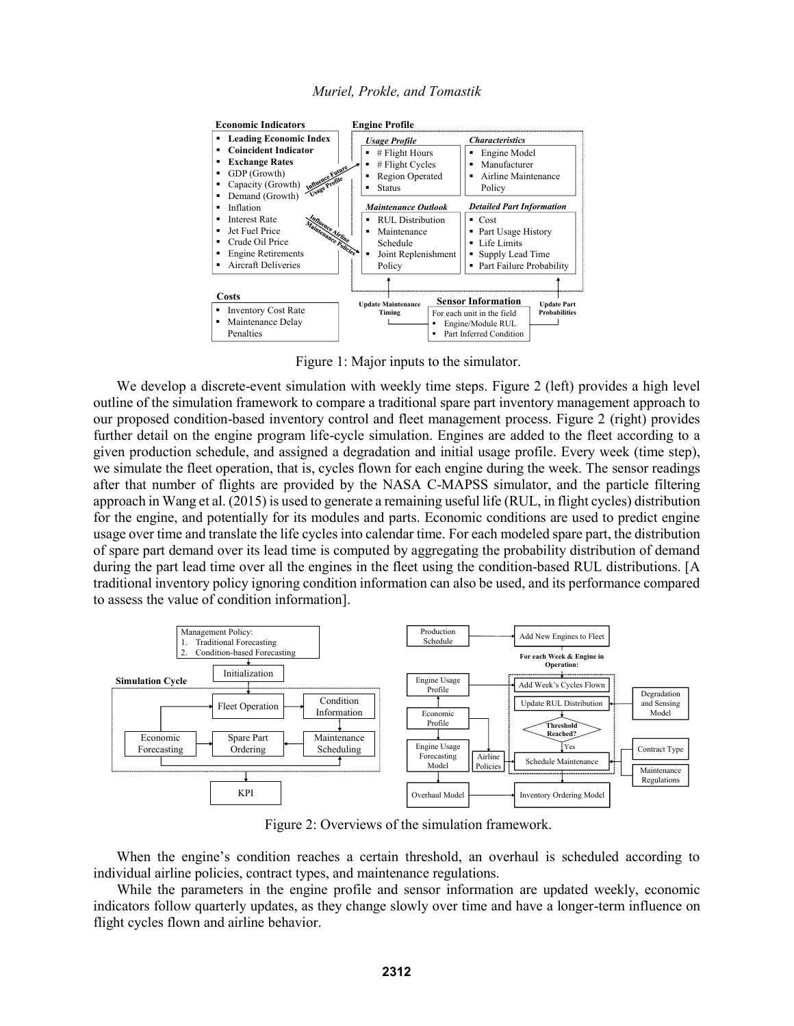



Figure 1: Major inputs to the simulator.

We develop a discrete-event simulation with weekly time steps. Figure 2 (left) provides a high level outline of the simulation framework to compare a traditional spare part inventory management approach to our proposed condition-based inventory control and fleet management process. Figure 2 (right) provides further detail on the engine program life-cycle simulation. Engines are added to the fleet according to a given production schedule, and assigned a degradation and initial usage profile. Every week (time step), we simulate the fleet operation, that is, cycles flown for each engine during the week. The sensor readings after that number of flights are provided by the NASA C-MAPSS simulator, and the particle filtering approach in Wang et al. (2015) is used to generate a remaining useful life (RUL, in flight cycles) distribution for the engine, and potentially for its modules and parts. Economic conditions are used to predict engine usage over time and translate the life cycles into calendar time. For each modeled spare part, the distribution of spare part demand over its lead time is computed by aggregating the probability distribution of demand during the part lead time over all the engines in the fleet using the condition-based RUL distributions. [A traditional inventory policy ignoring condition information can also be used, and its performance compared to assess the value of condition information].



Figure 2: Overviews of the simulation framework.

When the engine's condition reaches a certain threshold, an overhaul is scheduled according to individual airline policies, contract types, and maintenance regulations.

While the parameters in the engine profile and sensor information are updated weekly, economic indicators follow quarterly updates, as they change slowly over time and have a longer-term influence on flight cycles flown and airline behavior.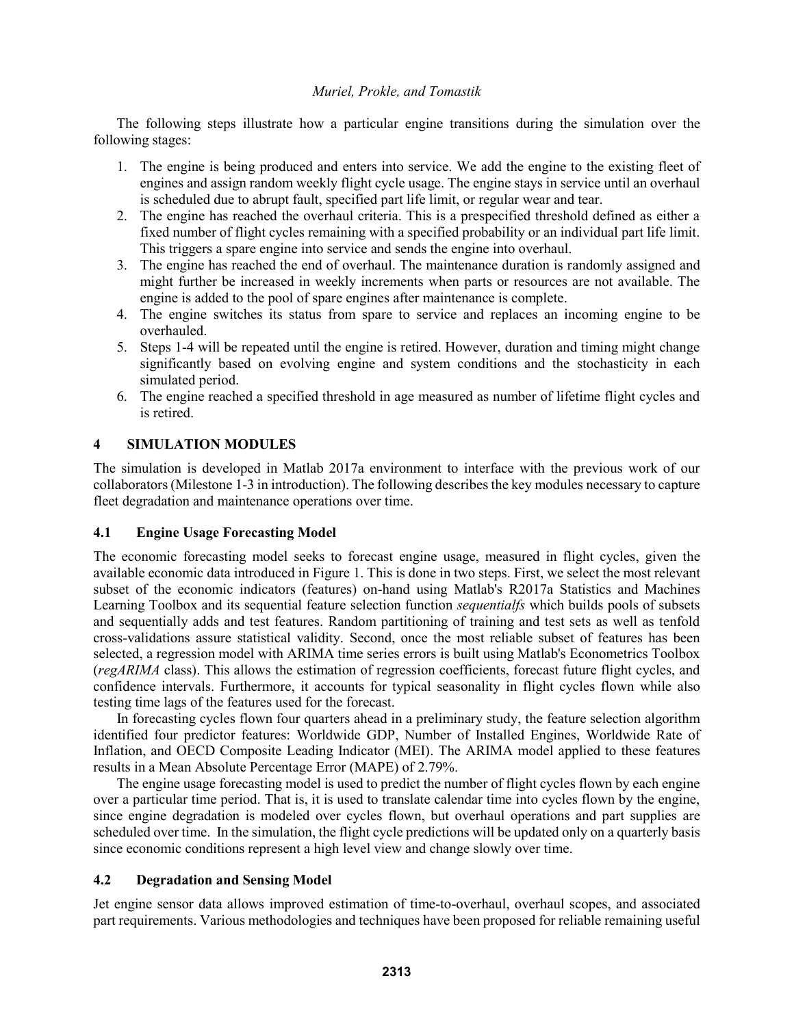The following steps illustrate how a particular engine transitions during the simulation over the following stages:

- 1. The engine is being produced and enters into service. We add the engine to the existing fleet of engines and assign random weekly flight cycle usage. The engine stays in service until an overhaul is scheduled due to abrupt fault, specified part life limit, or regular wear and tear.
- 2. The engine has reached the overhaul criteria. This is a prespecified threshold defined as either a fixed number of flight cycles remaining with a specified probability or an individual part life limit. This triggers a spare engine into service and sends the engine into overhaul.
- 3. The engine has reached the end of overhaul. The maintenance duration is randomly assigned and might further be increased in weekly increments when parts or resources are not available. The engine is added to the pool of spare engines after maintenance is complete.
- 4. The engine switches its status from spare to service and replaces an incoming engine to be overhauled.
- 5. Steps 1-4 will be repeated until the engine is retired. However, duration and timing might change significantly based on evolving engine and system conditions and the stochasticity in each simulated period.
- 6. The engine reached a specified threshold in age measured as number of lifetime flight cycles and is retired.

# **4 SIMULATION MODULES**

The simulation is developed in Matlab 2017a environment to interface with the previous work of our collaborators (Milestone 1-3 in introduction). The following describes the key modules necessary to capture fleet degradation and maintenance operations over time.

## **4.1 Engine Usage Forecasting Model**

The economic forecasting model seeks to forecast engine usage, measured in flight cycles, given the available economic data introduced in Figure 1. This is done in two steps. First, we select the most relevant subset of the economic indicators (features) on-hand using Matlab's R2017a Statistics and Machines Learning Toolbox and its sequential feature selection function *sequentialfs* which builds pools of subsets and sequentially adds and test features. Random partitioning of training and test sets as well as tenfold cross-validations assure statistical validity. Second, once the most reliable subset of features has been selected, a regression model with ARIMA time series errors is built using Matlab's Econometrics Toolbox (*regARIMA* class). This allows the estimation of regression coefficients, forecast future flight cycles, and confidence intervals. Furthermore, it accounts for typical seasonality in flight cycles flown while also testing time lags of the features used for the forecast.

In forecasting cycles flown four quarters ahead in a preliminary study, the feature selection algorithm identified four predictor features: Worldwide GDP, Number of Installed Engines, Worldwide Rate of Inflation, and OECD Composite Leading Indicator (MEI). The ARIMA model applied to these features results in a Mean Absolute Percentage Error (MAPE) of 2.79%.

The engine usage forecasting model is used to predict the number of flight cycles flown by each engine over a particular time period. That is, it is used to translate calendar time into cycles flown by the engine, since engine degradation is modeled over cycles flown, but overhaul operations and part supplies are scheduled over time. In the simulation, the flight cycle predictions will be updated only on a quarterly basis since economic conditions represent a high level view and change slowly over time.

# **4.2 Degradation and Sensing Model**

Jet engine sensor data allows improved estimation of time-to-overhaul, overhaul scopes, and associated part requirements. Various methodologies and techniques have been proposed for reliable remaining useful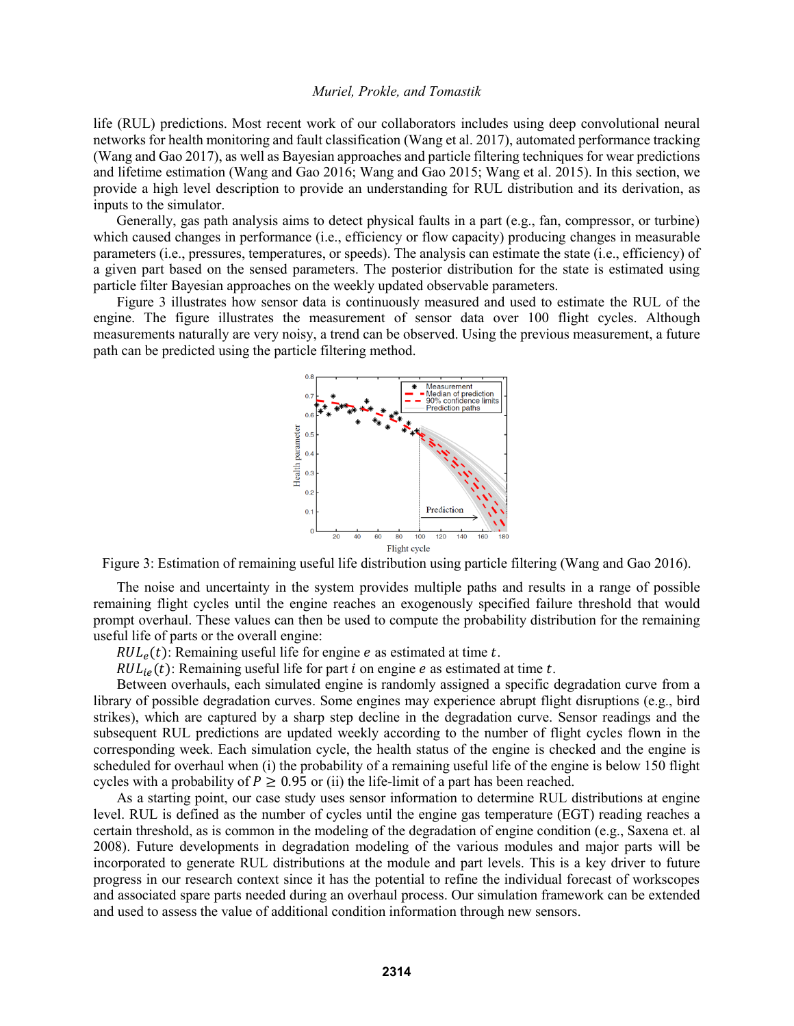life (RUL) predictions. Most recent work of our collaborators includes using deep convolutional neural networks for health monitoring and fault classification (Wang et al. 2017), automated performance tracking (Wang and Gao 2017), as well as Bayesian approaches and particle filtering techniques for wear predictions and lifetime estimation (Wang and Gao 2016; Wang and Gao 2015; Wang et al. 2015). In this section, we provide a high level description to provide an understanding for RUL distribution and its derivation, as inputs to the simulator.

Generally, gas path analysis aims to detect physical faults in a part (e.g., fan, compressor, or turbine) which caused changes in performance (i.e., efficiency or flow capacity) producing changes in measurable parameters (i.e., pressures, temperatures, or speeds). The analysis can estimate the state (i.e., efficiency) of a given part based on the sensed parameters. The posterior distribution for the state is estimated using particle filter Bayesian approaches on the weekly updated observable parameters.

Figure 3 illustrates how sensor data is continuously measured and used to estimate the RUL of the engine. The figure illustrates the measurement of sensor data over 100 flight cycles. Although measurements naturally are very noisy, a trend can be observed. Using the previous measurement, a future path can be predicted using the particle filtering method.



Figure 3: Estimation of remaining useful life distribution using particle filtering (Wang and Gao 2016).

The noise and uncertainty in the system provides multiple paths and results in a range of possible remaining flight cycles until the engine reaches an exogenously specified failure threshold that would prompt overhaul. These values can then be used to compute the probability distribution for the remaining useful life of parts or the overall engine:

 $RUL<sub>e</sub>(t)$ : Remaining useful life for engine *e* as estimated at time *t*.

 $RUL_{ie}(t)$ : Remaining useful life for part *i* on engine *e* as estimated at time *t*.

Between overhauls, each simulated engine is randomly assigned a specific degradation curve from a library of possible degradation curves. Some engines may experience abrupt flight disruptions (e.g., bird strikes), which are captured by a sharp step decline in the degradation curve. Sensor readings and the subsequent RUL predictions are updated weekly according to the number of flight cycles flown in the corresponding week. Each simulation cycle, the health status of the engine is checked and the engine is scheduled for overhaul when (i) the probability of a remaining useful life of the engine is below 150 flight cycles with a probability of  $P \ge 0.95$  or (ii) the life-limit of a part has been reached.

As a starting point, our case study uses sensor information to determine RUL distributions at engine level. RUL is defined as the number of cycles until the engine gas temperature (EGT) reading reaches a certain threshold, as is common in the modeling of the degradation of engine condition (e.g., Saxena et. al 2008). Future developments in degradation modeling of the various modules and major parts will be incorporated to generate RUL distributions at the module and part levels. This is a key driver to future progress in our research context since it has the potential to refine the individual forecast of workscopes and associated spare parts needed during an overhaul process. Our simulation framework can be extended and used to assess the value of additional condition information through new sensors.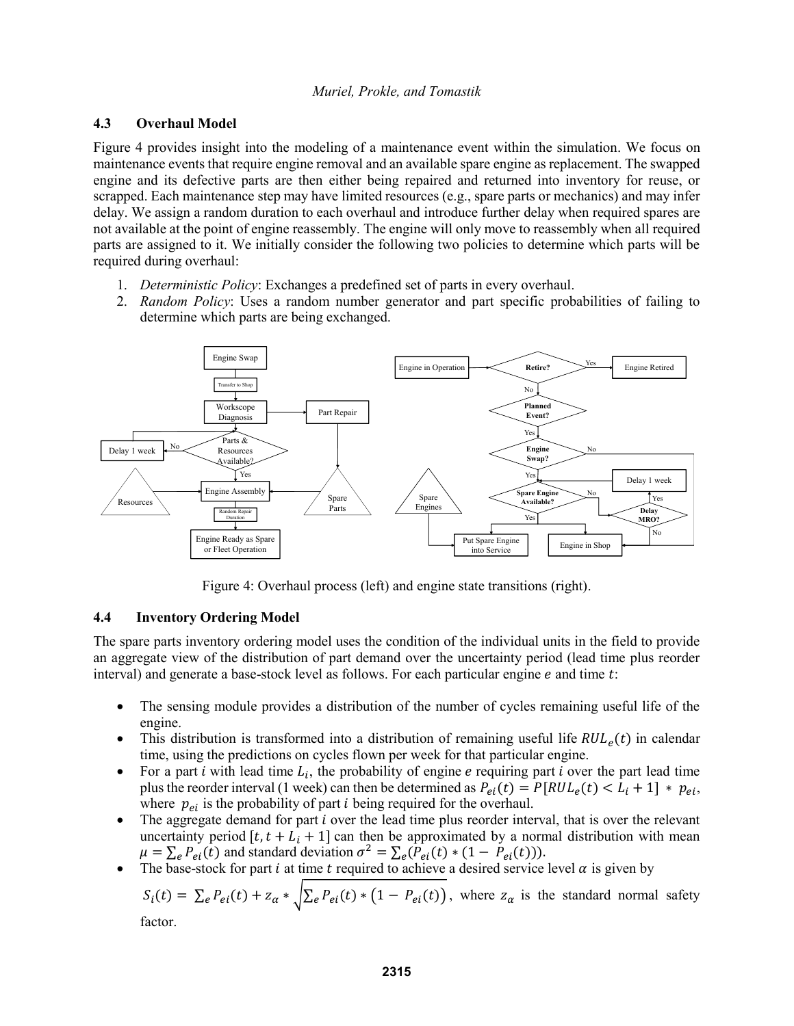### **4.3 Overhaul Model**

Figure 4 provides insight into the modeling of a maintenance event within the simulation. We focus on maintenance events that require engine removal and an available spare engine as replacement. The swapped engine and its defective parts are then either being repaired and returned into inventory for reuse, or scrapped. Each maintenance step may have limited resources (e.g., spare parts or mechanics) and may infer delay. We assign a random duration to each overhaul and introduce further delay when required spares are not available at the point of engine reassembly. The engine will only move to reassembly when all required parts are assigned to it. We initially consider the following two policies to determine which parts will be required during overhaul:

- 1. *Deterministic Policy*: Exchanges a predefined set of parts in every overhaul.
- 2. *Random Policy*: Uses a random number generator and part specific probabilities of failing to determine which parts are being exchanged.



Figure 4: Overhaul process (left) and engine state transitions (right).

## **4.4 Inventory Ordering Model**

The spare parts inventory ordering model uses the condition of the individual units in the field to provide an aggregate view of the distribution of part demand over the uncertainty period (lead time plus reorder interval) and generate a base-stock level as follows. For each particular engine  $e$  and time  $t$ :

- The sensing module provides a distribution of the number of cycles remaining useful life of the engine.
- This distribution is transformed into a distribution of remaining useful life  $RUL<sub>e</sub>(t)$  in calendar time, using the predictions on cycles flown per week for that particular engine.
- For a part *i* with lead time  $L_i$ , the probability of engine *e* requiring part *i* over the part lead time plus the reorder interval (1 week) can then be determined as  $P_{ei}(t) = P[RUL_e(t) < L_i + 1] * p_{ei}$ , where  $p_{ei}$  is the probability of part *i* being required for the overhaul.
- The aggregate demand for part *i* over the lead time plus reorder interval, that is over the relevant uncertainty period  $[t, t + L_i + 1]$  can then be approximated by a normal distribution with mean  $\mu = \sum_{e} P_{ei}(\hat{t})$  and standard deviation  $\sigma^2 = \sum_{e} (\hat{P}_{ei}(t) * (1 - P_{ei}(t))).$
- The base-stock for part *i* at time *t* required to achieve a desired service level  $\alpha$  is given by

$$
S_i(t) = \sum_e P_{ei}(t) + z_\alpha * \sqrt{\sum_e P_{ei}(t) * (1 - P_{ei}(t))},
$$
 where  $z_\alpha$  is the standard normal safety factor.

factor.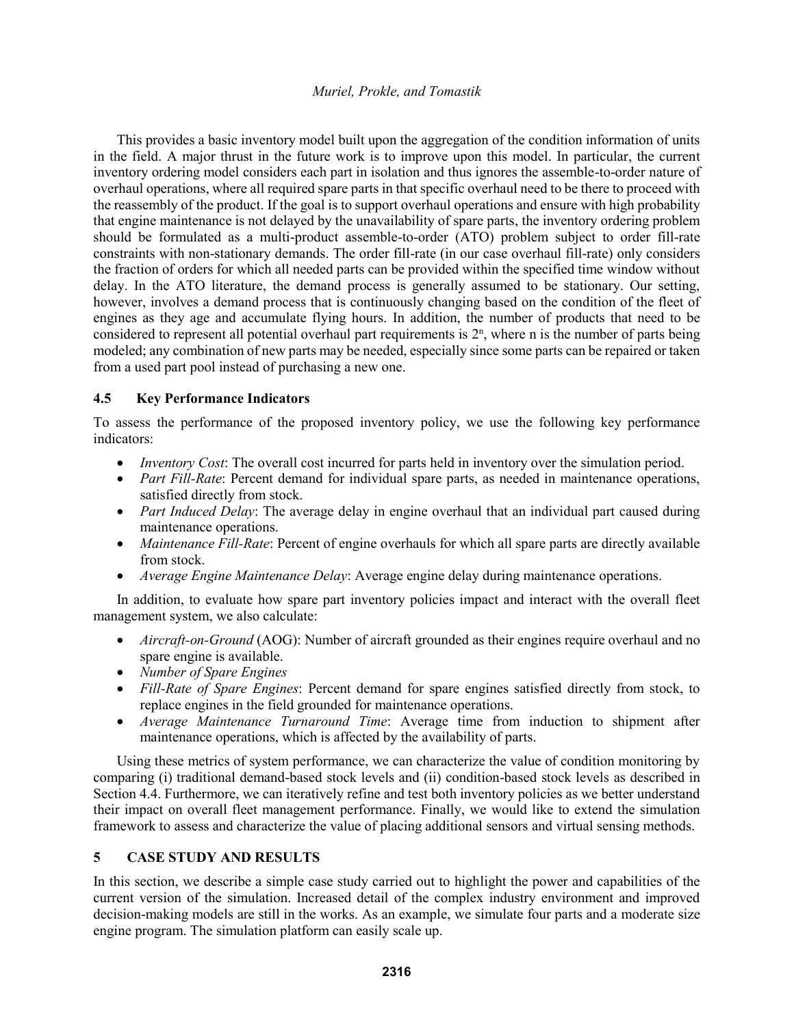This provides a basic inventory model built upon the aggregation of the condition information of units in the field. A major thrust in the future work is to improve upon this model. In particular, the current inventory ordering model considers each part in isolation and thus ignores the assemble-to-order nature of overhaul operations, where all required spare parts in that specific overhaul need to be there to proceed with the reassembly of the product. If the goal is to support overhaul operations and ensure with high probability that engine maintenance is not delayed by the unavailability of spare parts, the inventory ordering problem should be formulated as a multi-product assemble-to-order (ATO) problem subject to order fill-rate constraints with non-stationary demands. The order fill-rate (in our case overhaul fill-rate) only considers the fraction of orders for which all needed parts can be provided within the specified time window without delay. In the ATO literature, the demand process is generally assumed to be stationary. Our setting, however, involves a demand process that is continuously changing based on the condition of the fleet of engines as they age and accumulate flying hours. In addition, the number of products that need to be considered to represent all potential overhaul part requirements is  $2<sup>n</sup>$ , where n is the number of parts being modeled; any combination of new parts may be needed, especially since some parts can be repaired or taken from a used part pool instead of purchasing a new one.

## **4.5 Key Performance Indicators**

To assess the performance of the proposed inventory policy, we use the following key performance indicators:

- *Inventory Cost*: The overall cost incurred for parts held in inventory over the simulation period.
- *Part Fill-Rate*: Percent demand for individual spare parts, as needed in maintenance operations, satisfied directly from stock.
- *Part Induced Delay*: The average delay in engine overhaul that an individual part caused during maintenance operations.
- *Maintenance Fill-Rate*: Percent of engine overhauls for which all spare parts are directly available from stock.
- *Average Engine Maintenance Delay*: Average engine delay during maintenance operations.

In addition, to evaluate how spare part inventory policies impact and interact with the overall fleet management system, we also calculate:

- *Aircraft-on-Ground* (AOG): Number of aircraft grounded as their engines require overhaul and no spare engine is available.
- *Number of Spare Engines*
- *Fill-Rate of Spare Engines*: Percent demand for spare engines satisfied directly from stock, to replace engines in the field grounded for maintenance operations.
- *Average Maintenance Turnaround Time*: Average time from induction to shipment after maintenance operations, which is affected by the availability of parts.

Using these metrics of system performance, we can characterize the value of condition monitoring by comparing (i) traditional demand-based stock levels and (ii) condition-based stock levels as described in Section 4.4. Furthermore, we can iteratively refine and test both inventory policies as we better understand their impact on overall fleet management performance. Finally, we would like to extend the simulation framework to assess and characterize the value of placing additional sensors and virtual sensing methods.

## **5 CASE STUDY AND RESULTS**

In this section, we describe a simple case study carried out to highlight the power and capabilities of the current version of the simulation. Increased detail of the complex industry environment and improved decision-making models are still in the works. As an example, we simulate four parts and a moderate size engine program. The simulation platform can easily scale up.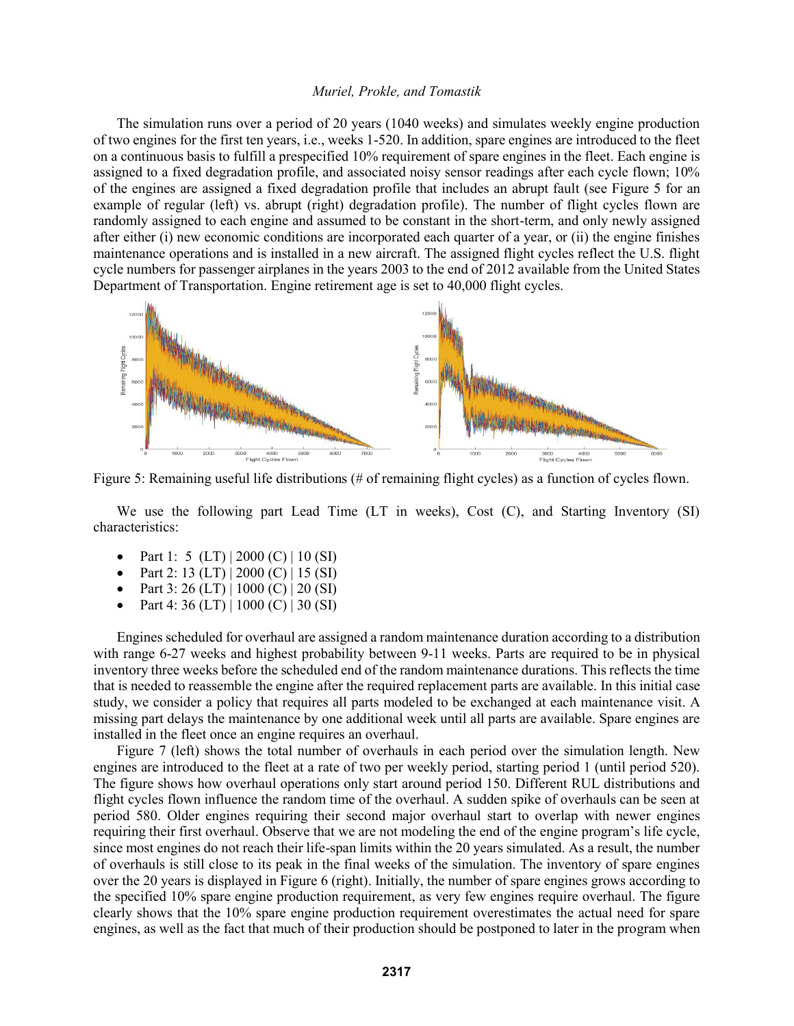The simulation runs over a period of 20 years (1040 weeks) and simulates weekly engine production of two engines for the first ten years, i.e., weeks 1-520. In addition, spare engines are introduced to the fleet on a continuous basis to fulfill a prespecified 10% requirement of spare engines in the fleet. Each engine is assigned to a fixed degradation profile, and associated noisy sensor readings after each cycle flown; 10% of the engines are assigned a fixed degradation profile that includes an abrupt fault (see Figure 5 for an example of regular (left) vs. abrupt (right) degradation profile). The number of flight cycles flown are randomly assigned to each engine and assumed to be constant in the short-term, and only newly assigned after either (i) new economic conditions are incorporated each quarter of a year, or (ii) the engine finishes maintenance operations and is installed in a new aircraft. The assigned flight cycles reflect the U.S. flight cycle numbers for passenger airplanes in the years 2003 to the end of 2012 available from the United States Department of Transportation. Engine retirement age is set to 40,000 flight cycles.



Figure 5: Remaining useful life distributions (# of remaining flight cycles) as a function of cycles flown.

We use the following part Lead Time (LT in weeks), Cost (C), and Starting Inventory (SI) characteristics:

- Part 1: 5 (LT) | 2000 (C) | 10 (SI)
- Part 2: 13 (LT) | 2000 (C) | 15 (SI)
- Part 3: 26 (LT) | 1000 (C) | 20 (SI)
- Part 4: 36 (LT) | 1000 (C) | 30 (SI)

Engines scheduled for overhaul are assigned a random maintenance duration according to a distribution with range 6-27 weeks and highest probability between 9-11 weeks. Parts are required to be in physical inventory three weeks before the scheduled end of the random maintenance durations. This reflects the time that is needed to reassemble the engine after the required replacement parts are available. In this initial case study, we consider a policy that requires all parts modeled to be exchanged at each maintenance visit. A missing part delays the maintenance by one additional week until all parts are available. Spare engines are installed in the fleet once an engine requires an overhaul.

Figure 7 (left) shows the total number of overhauls in each period over the simulation length. New engines are introduced to the fleet at a rate of two per weekly period, starting period 1 (until period 520). The figure shows how overhaul operations only start around period 150. Different RUL distributions and flight cycles flown influence the random time of the overhaul. A sudden spike of overhauls can be seen at period 580. Older engines requiring their second major overhaul start to overlap with newer engines requiring their first overhaul. Observe that we are not modeling the end of the engine program's life cycle, since most engines do not reach their life-span limits within the 20 years simulated. As a result, the number of overhauls is still close to its peak in the final weeks of the simulation. The inventory of spare engines over the 20 years is displayed in Figure 6 (right). Initially, the number of spare engines grows according to the specified 10% spare engine production requirement, as very few engines require overhaul. The figure clearly shows that the 10% spare engine production requirement overestimates the actual need for spare engines, as well as the fact that much of their production should be postponed to later in the program when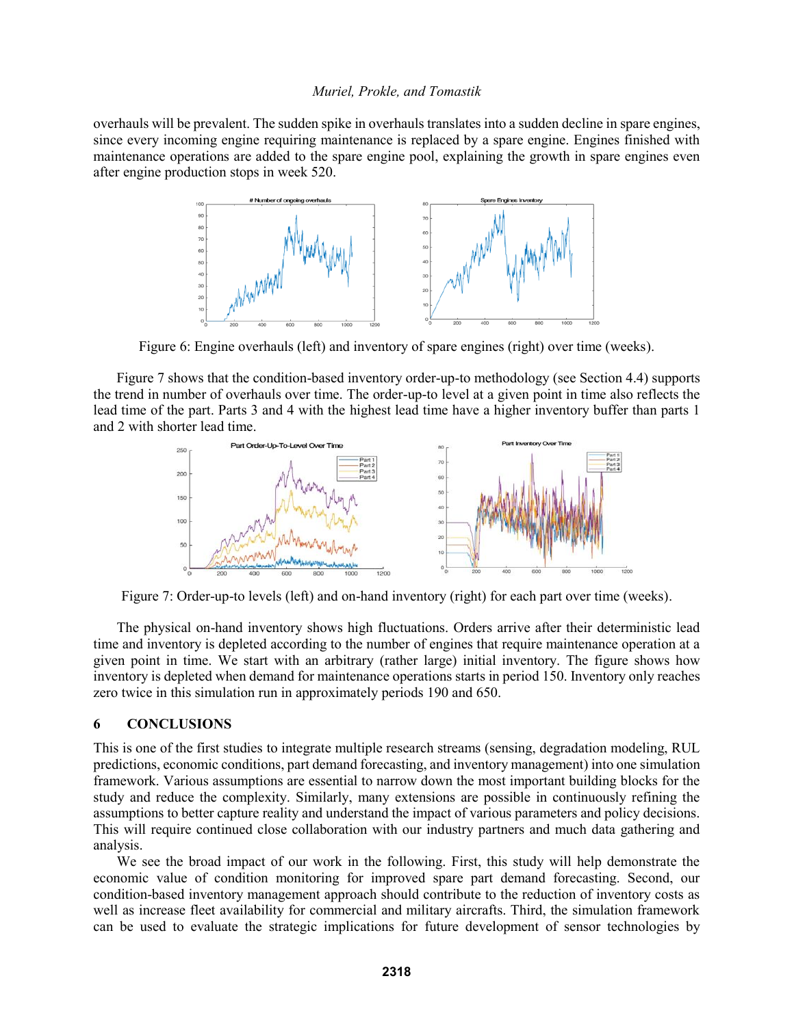overhauls will be prevalent. The sudden spike in overhauls translates into a sudden decline in spare engines, since every incoming engine requiring maintenance is replaced by a spare engine. Engines finished with maintenance operations are added to the spare engine pool, explaining the growth in spare engines even after engine production stops in week 520.



Figure 6: Engine overhauls (left) and inventory of spare engines (right) over time (weeks).

Figure 7 shows that the condition-based inventory order-up-to methodology (see Section 4.4) supports the trend in number of overhauls over time. The order-up-to level at a given point in time also reflects the lead time of the part. Parts 3 and 4 with the highest lead time have a higher inventory buffer than parts 1 and 2 with shorter lead time.



Figure 7: Order-up-to levels (left) and on-hand inventory (right) for each part over time (weeks).

The physical on-hand inventory shows high fluctuations. Orders arrive after their deterministic lead time and inventory is depleted according to the number of engines that require maintenance operation at a given point in time. We start with an arbitrary (rather large) initial inventory. The figure shows how inventory is depleted when demand for maintenance operations starts in period 150. Inventory only reaches zero twice in this simulation run in approximately periods 190 and 650.

### **6 CONCLUSIONS**

This is one of the first studies to integrate multiple research streams (sensing, degradation modeling, RUL predictions, economic conditions, part demand forecasting, and inventory management) into one simulation framework. Various assumptions are essential to narrow down the most important building blocks for the study and reduce the complexity. Similarly, many extensions are possible in continuously refining the assumptions to better capture reality and understand the impact of various parameters and policy decisions. This will require continued close collaboration with our industry partners and much data gathering and analysis.

We see the broad impact of our work in the following. First, this study will help demonstrate the economic value of condition monitoring for improved spare part demand forecasting. Second, our condition-based inventory management approach should contribute to the reduction of inventory costs as well as increase fleet availability for commercial and military aircrafts. Third, the simulation framework can be used to evaluate the strategic implications for future development of sensor technologies by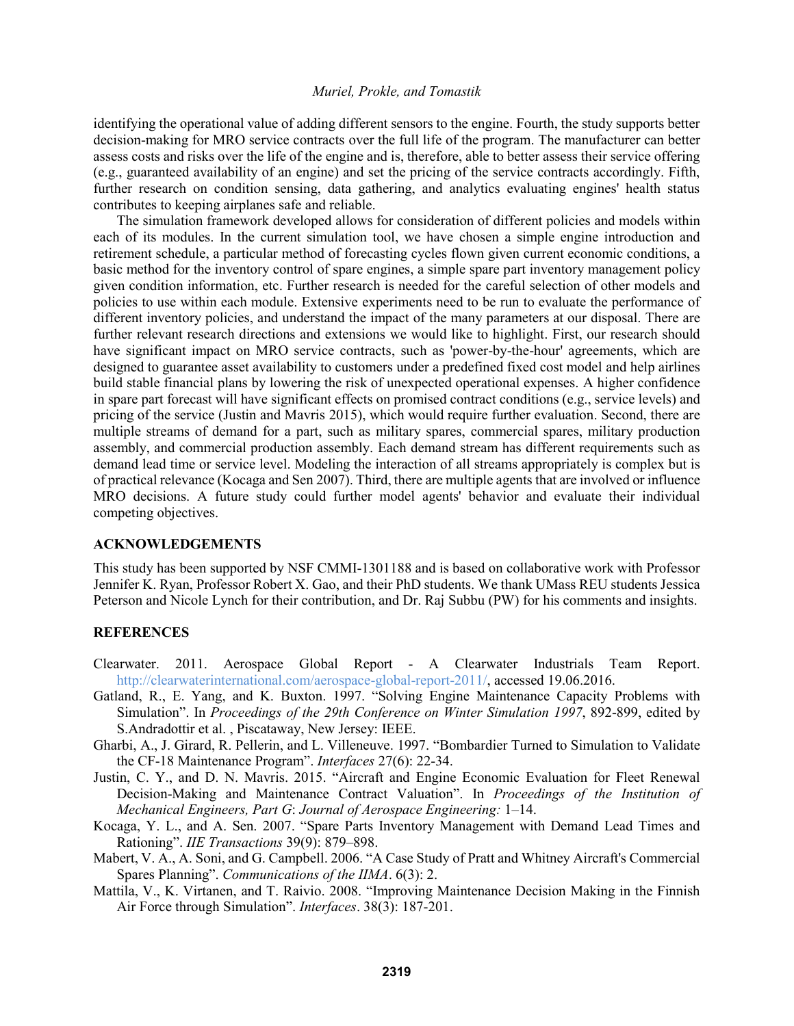identifying the operational value of adding different sensors to the engine. Fourth, the study supports better decision-making for MRO service contracts over the full life of the program. The manufacturer can better assess costs and risks over the life of the engine and is, therefore, able to better assess their service offering (e.g., guaranteed availability of an engine) and set the pricing of the service contracts accordingly. Fifth, further research on condition sensing, data gathering, and analytics evaluating engines' health status contributes to keeping airplanes safe and reliable.

The simulation framework developed allows for consideration of different policies and models within each of its modules. In the current simulation tool, we have chosen a simple engine introduction and retirement schedule, a particular method of forecasting cycles flown given current economic conditions, a basic method for the inventory control of spare engines, a simple spare part inventory management policy given condition information, etc. Further research is needed for the careful selection of other models and policies to use within each module. Extensive experiments need to be run to evaluate the performance of different inventory policies, and understand the impact of the many parameters at our disposal. There are further relevant research directions and extensions we would like to highlight. First, our research should have significant impact on MRO service contracts, such as 'power-by-the-hour' agreements, which are designed to guarantee asset availability to customers under a predefined fixed cost model and help airlines build stable financial plans by lowering the risk of unexpected operational expenses. A higher confidence in spare part forecast will have significant effects on promised contract conditions (e.g., service levels) and pricing of the service (Justin and Mavris 2015), which would require further evaluation. Second, there are multiple streams of demand for a part, such as military spares, commercial spares, military production assembly, and commercial production assembly. Each demand stream has different requirements such as demand lead time or service level. Modeling the interaction of all streams appropriately is complex but is of practical relevance (Kocaga and Sen 2007). Third, there are multiple agents that are involved or influence MRO decisions. A future study could further model agents' behavior and evaluate their individual competing objectives.

#### **ACKNOWLEDGEMENTS**

This study has been supported by NSF CMMI-1301188 and is based on collaborative work with Professor Jennifer K. Ryan, Professor Robert X. Gao, and their PhD students. We thank UMass REU students Jessica Peterson and Nicole Lynch for their contribution, and Dr. Raj Subbu (PW) for his comments and insights.

#### **REFERENCES**

- Clearwater. 2011. Aerospace Global Report A Clearwater Industrials Team Report. http://clearwaterinternational.com/aerospace-global-report-2011/, accessed 19.06.2016.
- Gatland, R., E. Yang, and K. Buxton. 1997. "Solving Engine Maintenance Capacity Problems with Simulation". In *Proceedings of the 29th Conference on Winter Simulation 1997*, 892-899, edited by S.Andradottir et al. , Piscataway, New Jersey: IEEE.
- Gharbi, A., J. Girard, R. Pellerin, and L. Villeneuve. 1997. "Bombardier Turned to Simulation to Validate the CF-18 Maintenance Program". *Interfaces* 27(6): 22-34.
- Justin, C. Y., and D. N. Mavris. 2015. "Aircraft and Engine Economic Evaluation for Fleet Renewal Decision-Making and Maintenance Contract Valuation". In *Proceedings of the Institution of Mechanical Engineers, Part G*: *Journal of Aerospace Engineering:* 1–14.
- Kocaga, Y. L., and A. Sen. 2007. "Spare Parts Inventory Management with Demand Lead Times and Rationing". *IIE Transactions* 39(9): 879–898.
- Mabert, V. A., A. Soni, and G. Campbell. 2006. "A Case Study of Pratt and Whitney Aircraft's Commercial Spares Planning". *Communications of the IIMA*. 6(3): 2.
- Mattila, V., K. Virtanen, and T. Raivio. 2008. "Improving Maintenance Decision Making in the Finnish Air Force through Simulation". *Interfaces*. 38(3): 187-201.